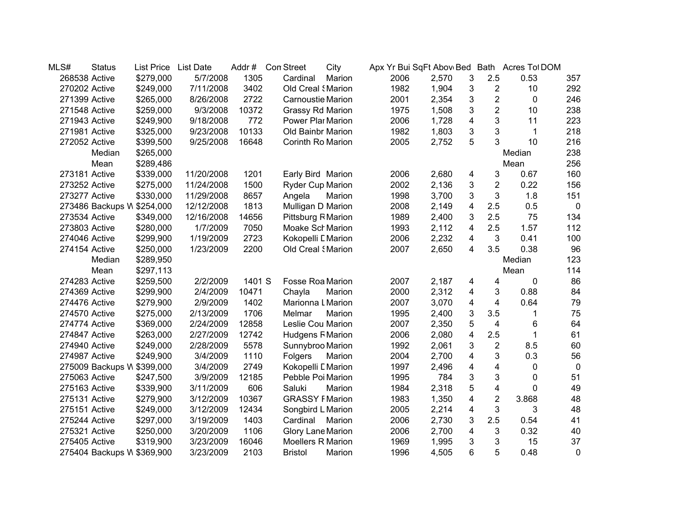| MLS#          | <b>Status</b> | List Price                 | <b>List Date</b> | Addr#  | <b>Con Street</b>        | City   | Apx Yr Bui SqFt Abov Bed Bath |       |                         |                         | Acres Tot DOM |                |
|---------------|---------------|----------------------------|------------------|--------|--------------------------|--------|-------------------------------|-------|-------------------------|-------------------------|---------------|----------------|
| 268538 Active |               | \$279,000                  | 5/7/2008         | 1305   | Cardinal                 | Marion | 2006                          | 2,570 | 3                       | 2.5                     | 0.53          | 357            |
| 270202 Active |               | \$249,000                  | 7/11/2008        | 3402   | Old Creal <i>(Marion</i> |        | 1982                          | 1,904 | 3                       | $\boldsymbol{2}$        | 10            | 292            |
| 271399 Active |               | \$265,000                  | 8/26/2008        | 2722   | <b>Carnoustie Marion</b> |        | 2001                          | 2,354 | 3                       | $\overline{2}$          | $\mathbf 0$   | 246            |
| 271548 Active |               | \$259,000                  | 9/3/2008         | 10372  | Grassy Rd Marion         |        | 1975                          | 1,508 | 3                       | $\overline{2}$          | 10            | 238            |
| 271943 Active |               | \$249,900                  | 9/18/2008        | 772    | Power Plar Marion        |        | 2006                          | 1,728 | 4                       | 3                       | 11            | 223            |
| 271981 Active |               | \$325,000                  | 9/23/2008        | 10133  | Old Bainbr Marion        |        | 1982                          | 1,803 | 3                       | 3                       | 1             | 218            |
| 272052 Active |               | \$399,500                  | 9/25/2008        | 16648  | Corinth Ro Marion        |        | 2005                          | 2,752 | 5                       | 3                       | 10            | 216            |
|               | Median        | \$265,000                  |                  |        |                          |        |                               |       |                         |                         | Median        | 238            |
|               | Mean          | \$289,486                  |                  |        |                          |        |                               |       |                         |                         | Mean          | 256            |
| 273181 Active |               | \$339,000                  | 11/20/2008       | 1201   | Early Bird Marion        |        | 2006                          | 2,680 | 4                       | 3                       | 0.67          | 160            |
| 273252 Active |               | \$275,000                  | 11/24/2008       | 1500   | <b>Ryder Cup Marion</b>  |        | 2002                          | 2,136 | 3                       | $\overline{\mathbf{c}}$ | 0.22          | 156            |
| 273277 Active |               | \$330,000                  | 11/29/2008       | 8657   | Angela                   | Marion | 1998                          | 3,700 | 3                       | 3                       | 1.8           | 151            |
|               |               | 273486 Backups W \$254,000 | 12/12/2008       | 1813   | Mulligan D Marion        |        | 2008                          | 2,149 | 4                       | 2.5                     | 0.5           | $\overline{0}$ |
| 273534 Active |               | \$349,000                  | 12/16/2008       | 14656  | Pittsburg R Marion       |        | 1989                          | 2,400 | 3                       | 2.5                     | 75            | 134            |
| 273803 Active |               | \$280,000                  | 1/7/2009         | 7050   | Moake Sch Marion         |        | 1993                          | 2,112 | 4                       | 2.5                     | 1.57          | 112            |
| 274046 Active |               | \$299,900                  | 1/19/2009        | 2723   | Kokopelli L Marion       |        | 2006                          | 2,232 | 4                       | 3                       | 0.41          | 100            |
| 274154 Active |               | \$250,000                  | 1/23/2009        | 2200   | Old Creal <i>(Marion</i> |        | 2007                          | 2,650 | 4                       | 3.5                     | 0.38          | 96             |
|               | Median        | \$289,950                  |                  |        |                          |        |                               |       |                         |                         | Median        | 123            |
|               | Mean          | \$297,113                  |                  |        |                          |        |                               |       |                         |                         | Mean          | 114            |
| 274283 Active |               | \$259,500                  | 2/2/2009         | 1401 S | Fosse Roa Marion         |        | 2007                          | 2,187 | 4                       | 4                       | 0             | 86             |
| 274369 Active |               | \$299,900                  | 2/4/2009         | 10471  | Chayla                   | Marion | 2000                          | 2,312 | 4                       | 3                       | 0.88          | 84             |
| 274476 Active |               | \$279,900                  | 2/9/2009         | 1402   | Marionna L Marion        |        | 2007                          | 3,070 | 4                       | 4                       | 0.64          | 79             |
| 274570 Active |               | \$275,000                  | 2/13/2009        | 1706   | Melmar                   | Marion | 1995                          | 2,400 | 3                       | 3.5                     | 1             | 75             |
| 274774 Active |               | \$369,000                  | 2/24/2009        | 12858  | Leslie Cou Marion        |        | 2007                          | 2,350 | 5                       | 4                       | 6             | 64             |
| 274847 Active |               | \$263,000                  | 2/27/2009        | 12742  | <b>Hudgens F Marion</b>  |        | 2006                          | 2,080 | $\overline{\mathbf{4}}$ | 2.5                     | 1             | 61             |
| 274940 Active |               | \$249,000                  | 2/28/2009        | 5578   | Sunnybroo Marion         |        | 1992                          | 2,061 | 3                       | $\overline{c}$          | 8.5           | 60             |
| 274987 Active |               | \$249,900                  | 3/4/2009         | 1110   | Folgers                  | Marion | 2004                          | 2,700 | 4                       | 3                       | 0.3           | 56             |
|               |               | 275009 Backups W \$399,000 | 3/4/2009         | 2749   | Kokopelli L Marion       |        | 1997                          | 2,496 | 4                       | 4                       | 0             | $\mathbf 0$    |
| 275063 Active |               | \$247,500                  | 3/9/2009         | 12185  | Pebble Poi Marion        |        | 1995                          | 784   | 3                       | 3                       | 0             | 51             |
| 275163 Active |               | \$339,900                  | 3/11/2009        | 606    | Saluki                   | Marion | 1984                          | 2,318 | 5                       | 4                       | 0             | 49             |
| 275131 Active |               | \$279,900                  | 3/12/2009        | 10367  | <b>GRASSY FMarion</b>    |        | 1983                          | 1,350 | 4                       | $\overline{2}$          | 3.868         | 48             |
| 275151 Active |               | \$249,000                  | 3/12/2009        | 12434  | Songbird L Marion        |        | 2005                          | 2,214 | $\overline{\mathbf{4}}$ | 3                       | 3             | 48             |
| 275244 Active |               | \$297,000                  | 3/19/2009        | 1403   | Cardinal                 | Marion | 2006                          | 2,730 | 3                       | 2.5                     | 0.54          | 41             |
| 275321 Active |               | \$250,000                  | 3/20/2009        | 1106   | Glory Lane Marion        |        | 2006                          | 2,700 | 4                       | 3                       | 0.32          | 40             |
| 275405 Active |               | \$319,900                  | 3/23/2009        | 16046  | Moellers R Marion        |        | 1969                          | 1,995 | 3                       | 3                       | 15            | 37             |
|               |               | 275404 Backups W \$369,900 | 3/23/2009        | 2103   | <b>Bristol</b>           | Marion | 1996                          | 4,505 | 6                       | 5                       | 0.48          | 0              |